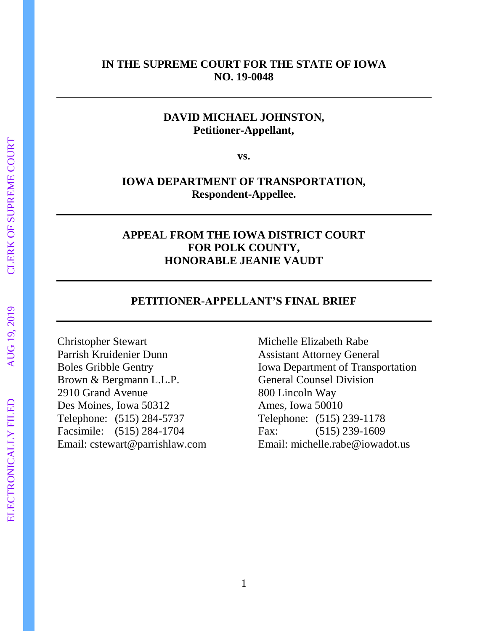## **IN THE SUPREME COURT FOR THE STATE OF IOWA NO. 19-0048**

# **DAVID MICHAEL JOHNSTON, Petitioner-Appellant,**

**vs.**

# **IOWA DEPARTMENT OF TRANSPORTATION, Respondent-Appellee.**

# **APPEAL FROM THE IOWA DISTRICT COURT FOR POLK COUNTY, HONORABLE JEANIE VAUDT**

#### **PETITIONER-APPELLANT'S FINAL BRIEF**

Christopher Stewart Parrish Kruidenier Dunn Boles Gribble Gentry Brown & Bergmann L.L.P. 2910 Grand Avenue Des Moines, Iowa 50312 Telephone: (515) 284-5737 Facsimile: (515) 284-1704 Email: cstewart@parrishlaw.com

Michelle Elizabeth Rabe Assistant Attorney General Iowa Department of Transportation General Counsel Division 800 Lincoln Way Ames, Iowa 50010 Telephone: (515) 239-1178 Fax: (515) 239-1609 Email: michelle.rabe@iowadot.us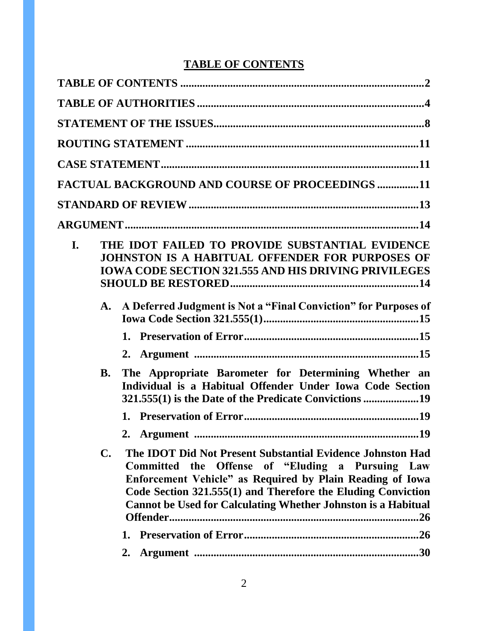# **TABLE OF CONTENTS**

|    |                | <b>FACTUAL BACKGROUND AND COURSE OF PROCEEDINGS 11</b>                                                                                                                                                                                                                                                              |
|----|----------------|---------------------------------------------------------------------------------------------------------------------------------------------------------------------------------------------------------------------------------------------------------------------------------------------------------------------|
|    |                |                                                                                                                                                                                                                                                                                                                     |
|    |                |                                                                                                                                                                                                                                                                                                                     |
| I. |                | THE IDOT FAILED TO PROVIDE SUBSTANTIAL EVIDENCE<br>JOHNSTON IS A HABITUAL OFFENDER FOR PURPOSES OF<br><b>IOWA CODE SECTION 321.555 AND HIS DRIVING PRIVILEGES</b>                                                                                                                                                   |
|    |                | A. A Deferred Judgment is Not a "Final Conviction" for Purposes of                                                                                                                                                                                                                                                  |
|    | <b>B.</b>      | The Appropriate Barometer for Determining Whether an<br>Individual is a Habitual Offender Under Iowa Code Section                                                                                                                                                                                                   |
|    | $\mathbf{C}$ . | The IDOT Did Not Present Substantial Evidence Johnston Had<br>Committed the Offense of "Eluding a Pursuing Law<br>Enforcement Vehicle" as Required by Plain Reading of Iowa<br>Code Section 321.555(1) and Therefore the Eluding Conviction<br><b>Cannot be Used for Calculating Whether Johnston is a Habitual</b> |
|    |                | 2.                                                                                                                                                                                                                                                                                                                  |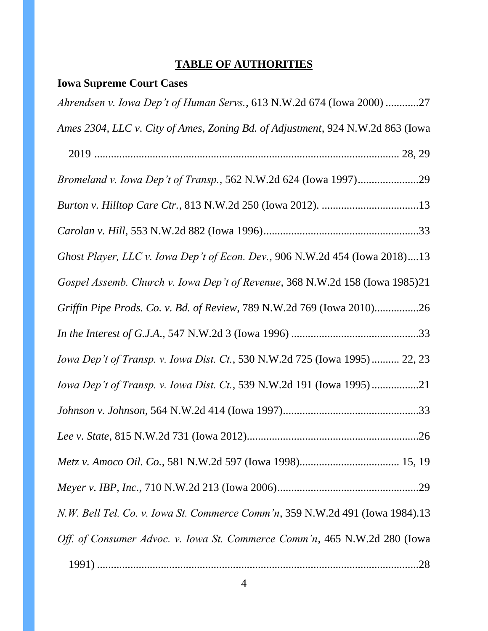# **TABLE OF AUTHORITIES**

# **Iowa Supreme Court Cases**

| Ahrendsen v. Iowa Dep't of Human Servs., 613 N.W.2d 674 (Iowa 2000) 27         |
|--------------------------------------------------------------------------------|
| Ames 2304, LLC v. City of Ames, Zoning Bd. of Adjustment, 924 N.W.2d 863 (Iowa |
|                                                                                |
| Bromeland v. Iowa Dep't of Transp., 562 N.W.2d 624 (Iowa 1997)29               |
|                                                                                |
|                                                                                |
| Ghost Player, LLC v. Iowa Dep't of Econ. Dev., 906 N.W.2d 454 (Iowa 2018)13    |
| Gospel Assemb. Church v. Iowa Dep't of Revenue, 368 N.W.2d 158 (Iowa 1985)21   |
| Griffin Pipe Prods. Co. v. Bd. of Review, 789 N.W.2d 769 (Iowa 2010)26         |
|                                                                                |
| Iowa Dep't of Transp. v. Iowa Dist. Ct., 530 N.W.2d 725 (Iowa 1995) 22, 23     |
| Iowa Dep't of Transp. v. Iowa Dist. Ct., 539 N.W.2d 191 (Iowa 1995)21          |
|                                                                                |
|                                                                                |
|                                                                                |
|                                                                                |
| N.W. Bell Tel. Co. v. Iowa St. Commerce Comm'n, 359 N.W.2d 491 (Iowa 1984).13  |
| Off. of Consumer Advoc. v. Iowa St. Commerce Comm'n, 465 N.W.2d 280 (Iowa      |
|                                                                                |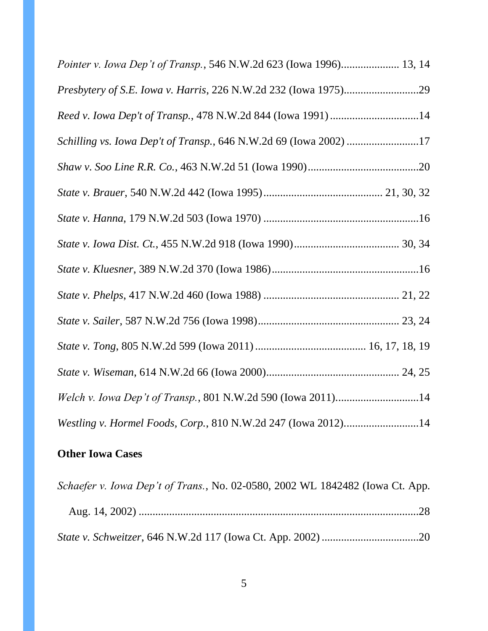| Pointer v. Iowa Dep't of Transp., 546 N.W.2d 623 (Iowa 1996) 13, 14 |
|---------------------------------------------------------------------|
|                                                                     |
| Reed v. Iowa Dep't of Transp., 478 N.W.2d 844 (Iowa 1991)14         |
| Schilling vs. Iowa Dep't of Transp., 646 N.W.2d 69 (Iowa 2002) 17   |
|                                                                     |
|                                                                     |
|                                                                     |
|                                                                     |
|                                                                     |
|                                                                     |
|                                                                     |
|                                                                     |
|                                                                     |
| Welch v. Iowa Dep't of Transp., 801 N.W.2d 590 (Iowa 2011)14        |
| Westling v. Hormel Foods, Corp., 810 N.W.2d 247 (Iowa 2012)14       |

# **Other Iowa Cases**

| Schaefer v. Iowa Dep't of Trans., No. 02-0580, 2002 WL 1842482 (Iowa Ct. App. |  |
|-------------------------------------------------------------------------------|--|
|                                                                               |  |
|                                                                               |  |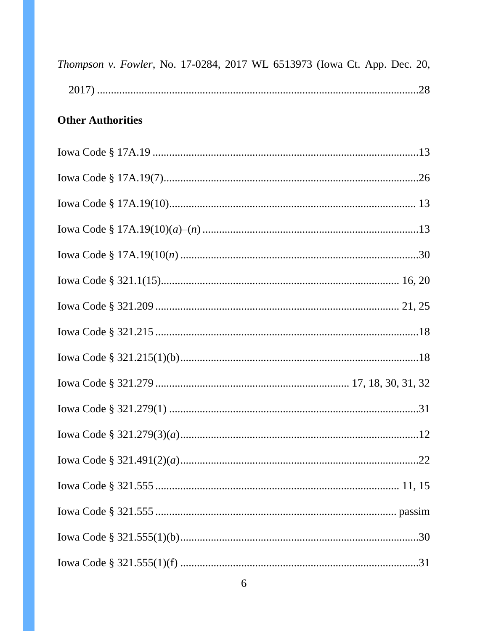| Thompson v. Fowler, No. 17-0284, 2017 WL 6513973 (Iowa Ct. App. Dec. 20, |  |  |  |  |  |  |
|--------------------------------------------------------------------------|--|--|--|--|--|--|
|                                                                          |  |  |  |  |  |  |

# **Other Authorities**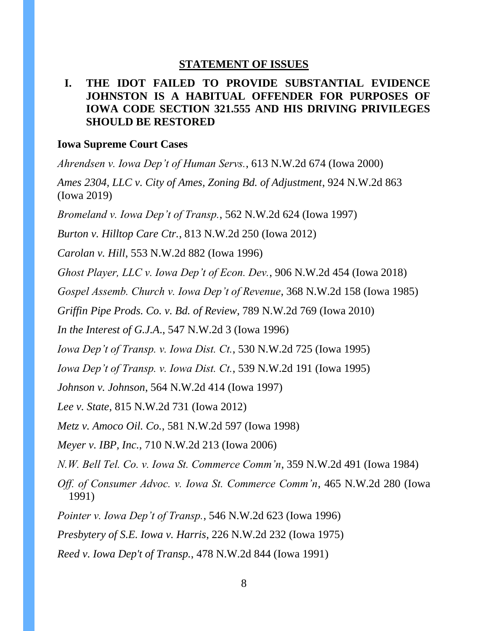#### **STATEMENT OF ISSUES**

# **I. THE IDOT FAILED TO PROVIDE SUBSTANTIAL EVIDENCE JOHNSTON IS A HABITUAL OFFENDER FOR PURPOSES OF IOWA CODE SECTION 321.555 AND HIS DRIVING PRIVILEGES SHOULD BE RESTORED**

#### **Iowa Supreme Court Cases**

*Ahrendsen v. Iowa Dep't of Human Servs.*, 613 N.W.2d 674 (Iowa 2000) *Ames 2304, LLC v. City of Ames, Zoning Bd. of Adjustment*, 924 N.W.2d 863 (Iowa 2019) *Bromeland v. Iowa Dep't of Transp.*, 562 N.W.2d 624 (Iowa 1997) *Burton v. Hilltop Care Ctr.*, 813 N.W.2d 250 (Iowa 2012) *Carolan v. Hill*, 553 N.W.2d 882 (Iowa 1996) *Ghost Player, LLC v. Iowa Dep't of Econ. Dev.*, 906 N.W.2d 454 (Iowa 2018) *Gospel Assemb. Church v. Iowa Dep't of Revenue*, 368 N.W.2d 158 (Iowa 1985) *Griffin Pipe Prods. Co. v. Bd. of Review*, 789 N.W.2d 769 (Iowa 2010) *In the Interest of G.J.A*., 547 N.W.2d 3 (Iowa 1996) *Iowa Dep't of Transp. v. Iowa Dist. Ct.*, 530 N.W.2d 725 (Iowa 1995) *Iowa Dep't of Transp. v. Iowa Dist. Ct.*, 539 N.W.2d 191 (Iowa 1995) *Johnson v. Johnson*, 564 N.W.2d 414 (Iowa 1997) *Lee v. State*, 815 N.W.2d 731 (Iowa 2012) *Metz v. Amoco Oil. Co.*, 581 N.W.2d 597 (Iowa 1998) *Meyer v. IBP, Inc.*, 710 N.W.2d 213 (Iowa 2006) *N.W. Bell Tel. Co. v. Iowa St. Commerce Comm'n*, 359 N.W.2d 491 (Iowa 1984) *Off. of Consumer Advoc. v. Iowa St. Commerce Comm'n*, 465 N.W.2d 280 (Iowa 1991) *Pointer v. Iowa Dep't of Transp.*, 546 N.W.2d 623 (Iowa 1996) *Presbytery of S.E. Iowa v. Harris*, 226 N.W.2d 232 (Iowa 1975) *Reed v. Iowa Dep't of Transp.*, 478 N.W.2d 844 (Iowa 1991)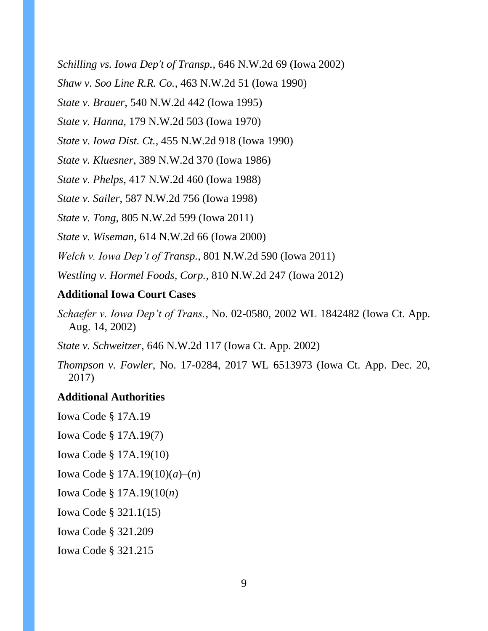*Schilling vs. Iowa Dep't of Transp.*, 646 N.W.2d 69 (Iowa 2002)

*Shaw v. Soo Line R.R. Co.*, 463 N.W.2d 51 (Iowa 1990)

*State v. Brauer*, 540 N.W.2d 442 (Iowa 1995)

*State v. Hanna*, 179 N.W.2d 503 (Iowa 1970)

*State v. Iowa Dist. Ct.*, 455 N.W.2d 918 (Iowa 1990)

*State v. Kluesner*, 389 N.W.2d 370 (Iowa 1986)

*State v. Phelps*, 417 N.W.2d 460 (Iowa 1988)

*State v. Sailer*, 587 N.W.2d 756 (Iowa 1998)

*State v. Tong*, 805 N.W.2d 599 (Iowa 2011)

*State v. Wiseman*, 614 N.W.2d 66 (Iowa 2000)

*Welch v. Iowa Dep't of Transp.*, 801 N.W.2d 590 (Iowa 2011)

*Westling v. Hormel Foods, Corp.*, 810 N.W.2d 247 (Iowa 2012)

# **Additional Iowa Court Cases**

*Schaefer v. Iowa Dep't of Trans.*, No. 02-0580, 2002 WL 1842482 (Iowa Ct. App. Aug. 14, 2002)

*State v. Schweitzer*, 646 N.W.2d 117 (Iowa Ct. App. 2002)

*Thompson v. Fowler*, No. 17-0284, 2017 WL 6513973 (Iowa Ct. App. Dec. 20, 2017)

### **Additional Authorities**

Iowa Code § 17A.19 Iowa Code § 17A.19(7) Iowa Code § 17A.19(10) Iowa Code § 17A.19(10)(*a*)–(*n*) Iowa Code § 17A.19(10(*n*) Iowa Code § 321.1(15) Iowa Code § 321.209 Iowa Code § 321.215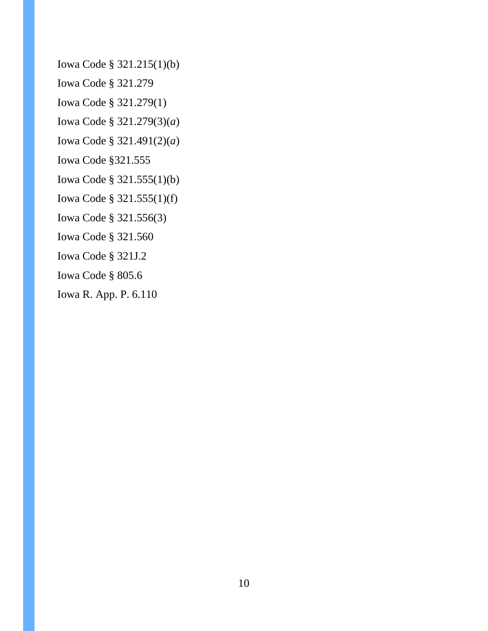Iowa Code § 321.215(1)(b)

Iowa Code § 321.279

Iowa Code § 321.279(1)

Iowa Code § 321.279(3)(*a*)

Iowa Code § 321.491(2)(*a*)

Iowa Code §321.555

Iowa Code § 321.555(1)(b)

Iowa Code § 321.555(1)(f)

Iowa Code § 321.556(3)

Iowa Code § 321.560

Iowa Code § 321J.2

Iowa Code § 805.6

Iowa R. App. P. 6.110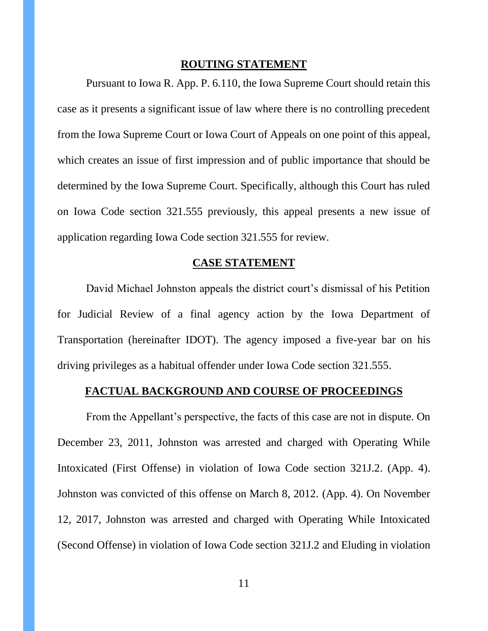#### **ROUTING STATEMENT**

Pursuant to Iowa R. App. P. 6.110, the Iowa Supreme Court should retain this case as it presents a significant issue of law where there is no controlling precedent from the Iowa Supreme Court or Iowa Court of Appeals on one point of this appeal, which creates an issue of first impression and of public importance that should be determined by the Iowa Supreme Court. Specifically, although this Court has ruled on Iowa Code section 321.555 previously, this appeal presents a new issue of application regarding Iowa Code section 321.555 for review.

#### **CASE STATEMENT**

David Michael Johnston appeals the district court's dismissal of his Petition for Judicial Review of a final agency action by the Iowa Department of Transportation (hereinafter IDOT). The agency imposed a five-year bar on his driving privileges as a habitual offender under Iowa Code section 321.555.

#### **FACTUAL BACKGROUND AND COURSE OF PROCEEDINGS**

From the Appellant's perspective, the facts of this case are not in dispute. On December 23, 2011, Johnston was arrested and charged with Operating While Intoxicated (First Offense) in violation of Iowa Code section 321J.2. (App. 4). Johnston was convicted of this offense on March 8, 2012. (App. 4). On November 12, 2017, Johnston was arrested and charged with Operating While Intoxicated (Second Offense) in violation of Iowa Code section 321J.2 and Eluding in violation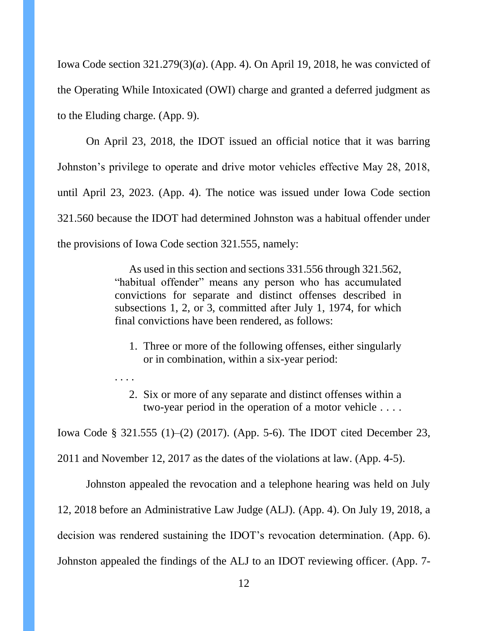Iowa Code section 321.279(3)(*a*). (App. 4). On April 19, 2018, he was convicted of the Operating While Intoxicated (OWI) charge and granted a deferred judgment as to the Eluding charge. (App. 9).

On April 23, 2018, the IDOT issued an official notice that it was barring Johnston's privilege to operate and drive motor vehicles effective May 28, 2018, until April 23, 2023. (App. 4). The notice was issued under Iowa Code section 321.560 because the IDOT had determined Johnston was a habitual offender under the provisions of Iowa Code section 321.555, namely:

> As used in this section and sections 331.556 through 321.562, "habitual offender" means any person who has accumulated convictions for separate and distinct offenses described in subsections 1, 2, or 3, committed after July 1, 1974, for which final convictions have been rendered, as follows:

- 1. Three or more of the following offenses, either singularly or in combination, within a six-year period:
- 2. Six or more of any separate and distinct offenses within a two-year period in the operation of a motor vehicle . . . .

Iowa Code § 321.555 (1)–(2) (2017). (App. 5-6). The IDOT cited December 23,

2011 and November 12, 2017 as the dates of the violations at law. (App. 4-5).

. . . .

Johnston appealed the revocation and a telephone hearing was held on July 12, 2018 before an Administrative Law Judge (ALJ). (App. 4). On July 19, 2018, a decision was rendered sustaining the IDOT's revocation determination. (App. 6). Johnston appealed the findings of the ALJ to an IDOT reviewing officer. (App. 7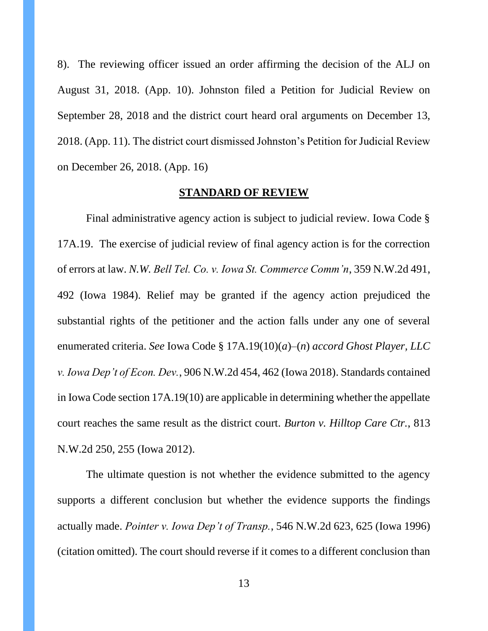8). The reviewing officer issued an order affirming the decision of the ALJ on August 31, 2018. (App. 10). Johnston filed a Petition for Judicial Review on September 28, 2018 and the district court heard oral arguments on December 13, 2018. (App. 11). The district court dismissed Johnston's Petition for Judicial Review on December 26, 2018. (App. 16)

#### **STANDARD OF REVIEW**

Final administrative agency action is subject to judicial review. Iowa Code § 17A.19. The exercise of judicial review of final agency action is for the correction of errors at law. *N.W. Bell Tel. Co. v. Iowa St. Commerce Comm'n*, 359 N.W.2d 491, 492 (Iowa 1984). Relief may be granted if the agency action prejudiced the substantial rights of the petitioner and the action falls under any one of several enumerated criteria. *See* Iowa Code § 17A.19(10)(*a*)–(*n*) *accord Ghost Player, LLC v. Iowa Dep't of Econ. Dev.*, 906 N.W.2d 454, 462 (Iowa 2018). Standards contained in Iowa Code section 17A.19(10) are applicable in determining whether the appellate court reaches the same result as the district court. *Burton v. Hilltop Care Ctr.*, 813 N.W.2d 250, 255 (Iowa 2012).

The ultimate question is not whether the evidence submitted to the agency supports a different conclusion but whether the evidence supports the findings actually made. *Pointer v. Iowa Dep't of Transp.*, 546 N.W.2d 623, 625 (Iowa 1996) (citation omitted). The court should reverse if it comes to a different conclusion than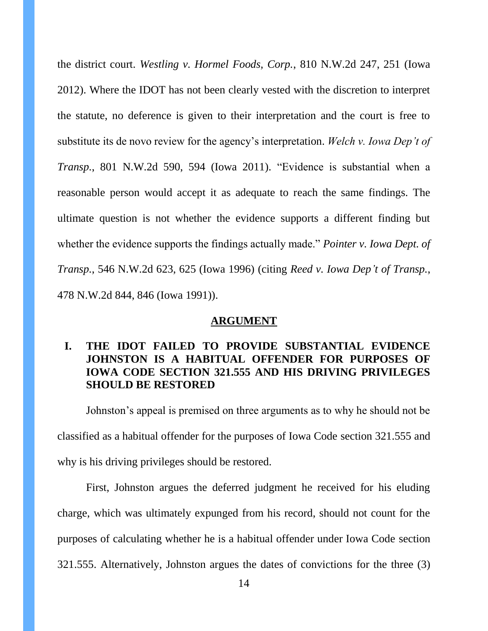the district court. *Westling v. Hormel Foods, Corp.*, 810 N.W.2d 247, 251 (Iowa 2012). Where the IDOT has not been clearly vested with the discretion to interpret the statute, no deference is given to their interpretation and the court is free to substitute its de novo review for the agency's interpretation. *Welch v. Iowa Dep't of Transp.*, 801 N.W.2d 590, 594 (Iowa 2011). "Evidence is substantial when a reasonable person would accept it as adequate to reach the same findings. The ultimate question is not whether the evidence supports a different finding but whether the evidence supports the findings actually made." *Pointer v. Iowa Dept. of Transp.*, 546 N.W.2d 623, 625 (Iowa 1996) (citing *Reed v. Iowa Dep't of Transp.*, 478 N.W.2d 844, 846 (Iowa 1991)).

#### **ARGUMENT**

# **I. THE IDOT FAILED TO PROVIDE SUBSTANTIAL EVIDENCE JOHNSTON IS A HABITUAL OFFENDER FOR PURPOSES OF IOWA CODE SECTION 321.555 AND HIS DRIVING PRIVILEGES SHOULD BE RESTORED**

Johnston's appeal is premised on three arguments as to why he should not be classified as a habitual offender for the purposes of Iowa Code section 321.555 and why is his driving privileges should be restored.

First, Johnston argues the deferred judgment he received for his eluding charge, which was ultimately expunged from his record, should not count for the purposes of calculating whether he is a habitual offender under Iowa Code section 321.555. Alternatively, Johnston argues the dates of convictions for the three (3)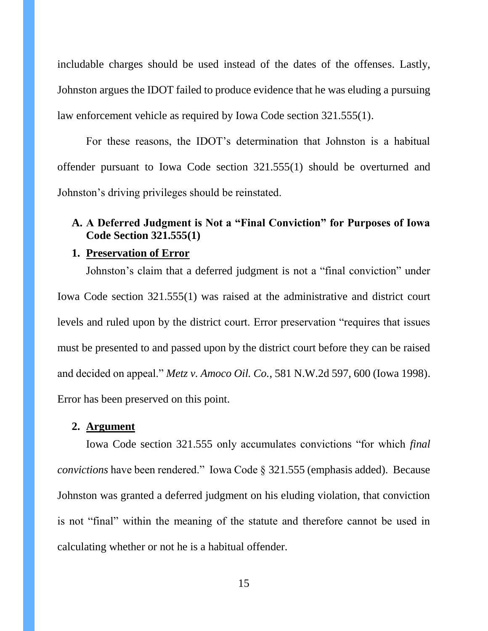includable charges should be used instead of the dates of the offenses. Lastly, Johnston argues the IDOT failed to produce evidence that he was eluding a pursuing law enforcement vehicle as required by Iowa Code section 321.555(1).

For these reasons, the IDOT's determination that Johnston is a habitual offender pursuant to Iowa Code section 321.555(1) should be overturned and Johnston's driving privileges should be reinstated.

# **A. A Deferred Judgment is Not a "Final Conviction" for Purposes of Iowa Code Section 321.555(1)**

#### **1. Preservation of Error**

Johnston's claim that a deferred judgment is not a "final conviction" under Iowa Code section 321.555(1) was raised at the administrative and district court levels and ruled upon by the district court. Error preservation "requires that issues must be presented to and passed upon by the district court before they can be raised and decided on appeal." *Metz v. Amoco Oil. Co.*, 581 N.W.2d 597, 600 (Iowa 1998). Error has been preserved on this point.

# **2. Argument**

Iowa Code section 321.555 only accumulates convictions "for which *final convictions* have been rendered." Iowa Code § 321.555 (emphasis added). Because Johnston was granted a deferred judgment on his eluding violation, that conviction is not "final" within the meaning of the statute and therefore cannot be used in calculating whether or not he is a habitual offender.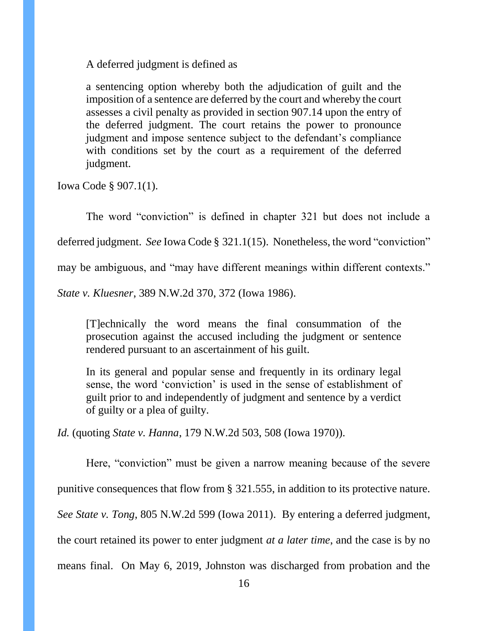A deferred judgment is defined as

a sentencing option whereby both the adjudication of guilt and the imposition of a sentence are deferred by the court and whereby the court assesses a civil penalty as provided in section 907.14 upon the entry of the deferred judgment. The court retains the power to pronounce judgment and impose sentence subject to the defendant's compliance with conditions set by the court as a requirement of the deferred judgment.

Iowa Code § 907.1(1).

The word "conviction" is defined in chapter 321 but does not include a

deferred judgment. *See* Iowa Code § 321.1(15). Nonetheless, the word "conviction"

may be ambiguous, and "may have different meanings within different contexts."

*State v. Kluesner*, 389 N.W.2d 370, 372 (Iowa 1986).

[T]echnically the word means the final consummation of the prosecution against the accused including the judgment or sentence rendered pursuant to an ascertainment of his guilt.

In its general and popular sense and frequently in its ordinary legal sense, the word 'conviction' is used in the sense of establishment of guilt prior to and independently of judgment and sentence by a verdict of guilty or a plea of guilty.

*Id.* (quoting *State v. Hanna*, 179 N.W.2d 503, 508 (Iowa 1970)).

Here, "conviction" must be given a narrow meaning because of the severe

punitive consequences that flow from § 321.555, in addition to its protective nature.

*See State v. Tong*, 805 N.W.2d 599 (Iowa 2011). By entering a deferred judgment,

the court retained its power to enter judgment *at a later time*, and the case is by no

means final. On May 6, 2019, Johnston was discharged from probation and the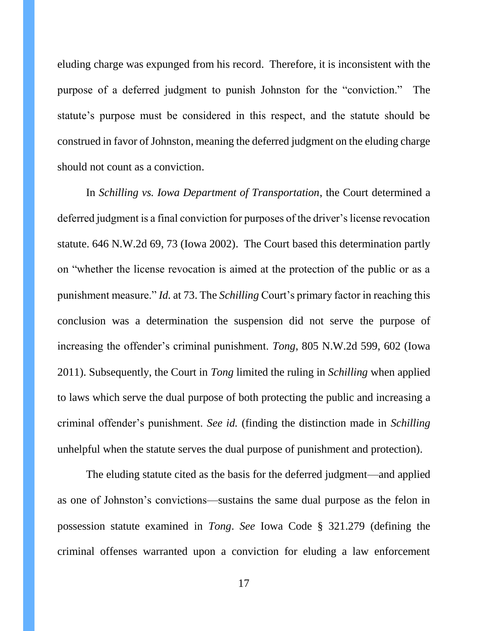eluding charge was expunged from his record. Therefore, it is inconsistent with the purpose of a deferred judgment to punish Johnston for the "conviction." The statute's purpose must be considered in this respect, and the statute should be construed in favor of Johnston, meaning the deferred judgment on the eluding charge should not count as a conviction.

In *Schilling vs. Iowa Department of Transportation*, the Court determined a deferred judgment is a final conviction for purposes of the driver's license revocation statute. 646 N.W.2d 69, 73 (Iowa 2002). The Court based this determination partly on "whether the license revocation is aimed at the protection of the public or as a punishment measure." *Id.* at 73. The *Schilling* Court's primary factor in reaching this conclusion was a determination the suspension did not serve the purpose of increasing the offender's criminal punishment. *Tong*, 805 N.W.2d 599, 602 (Iowa 2011). Subsequently, the Court in *Tong* limited the ruling in *Schilling* when applied to laws which serve the dual purpose of both protecting the public and increasing a criminal offender's punishment. *See id.* (finding the distinction made in *Schilling*  unhelpful when the statute serves the dual purpose of punishment and protection).

The eluding statute cited as the basis for the deferred judgment—and applied as one of Johnston's convictions—sustains the same dual purpose as the felon in possession statute examined in *Tong*. *See* Iowa Code § 321.279 (defining the criminal offenses warranted upon a conviction for eluding a law enforcement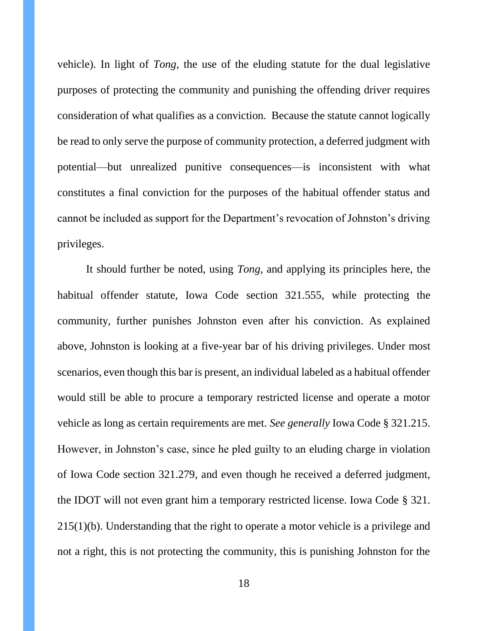vehicle). In light of *Tong*, the use of the eluding statute for the dual legislative purposes of protecting the community and punishing the offending driver requires consideration of what qualifies as a conviction*.* Because the statute cannot logically be read to only serve the purpose of community protection, a deferred judgment with potential—but unrealized punitive consequences—is inconsistent with what constitutes a final conviction for the purposes of the habitual offender status and cannot be included as support for the Department's revocation of Johnston's driving privileges.

It should further be noted, using *Tong*, and applying its principles here, the habitual offender statute, Iowa Code section 321.555, while protecting the community, further punishes Johnston even after his conviction. As explained above, Johnston is looking at a five-year bar of his driving privileges. Under most scenarios, even though this bar is present, an individual labeled as a habitual offender would still be able to procure a temporary restricted license and operate a motor vehicle as long as certain requirements are met. *See generally* Iowa Code § 321.215. However, in Johnston's case, since he pled guilty to an eluding charge in violation of Iowa Code section 321.279, and even though he received a deferred judgment, the IDOT will not even grant him a temporary restricted license. Iowa Code § 321. 215(1)(b). Understanding that the right to operate a motor vehicle is a privilege and not a right, this is not protecting the community, this is punishing Johnston for the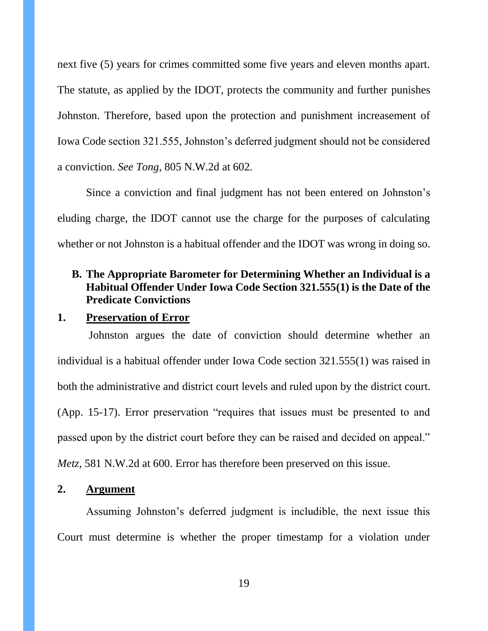next five (5) years for crimes committed some five years and eleven months apart. The statute, as applied by the IDOT, protects the community and further punishes Johnston. Therefore, based upon the protection and punishment increasement of Iowa Code section 321.555, Johnston's deferred judgment should not be considered a conviction. *See Tong*, 805 N.W.2d at 602.

Since a conviction and final judgment has not been entered on Johnston's eluding charge, the IDOT cannot use the charge for the purposes of calculating whether or not Johnston is a habitual offender and the IDOT was wrong in doing so.

# **B. The Appropriate Barometer for Determining Whether an Individual is a Habitual Offender Under Iowa Code Section 321.555(1) is the Date of the Predicate Convictions**

#### **1. Preservation of Error**

**2. Argument**

Johnston argues the date of conviction should determine whether an individual is a habitual offender under Iowa Code section 321.555(1) was raised in both the administrative and district court levels and ruled upon by the district court. (App. 15-17). Error preservation "requires that issues must be presented to and passed upon by the district court before they can be raised and decided on appeal." *Metz*, 581 N.W.2d at 600. Error has therefore been preserved on this issue.

Assuming Johnston's deferred judgment is includible, the next issue this Court must determine is whether the proper timestamp for a violation under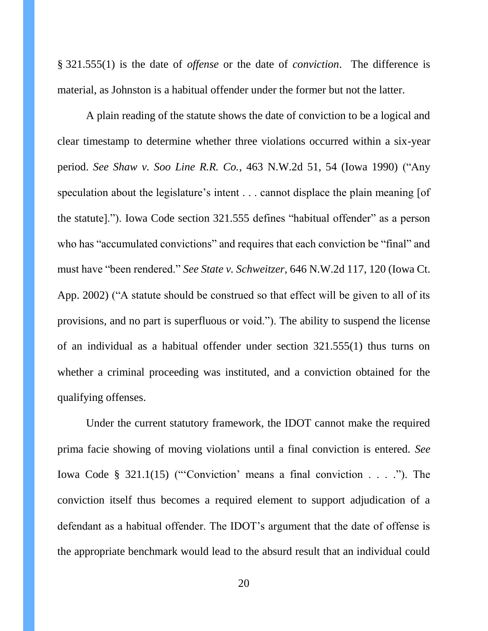§ 321.555(1) is the date of *offense* or the date of *conviction*. The difference is material, as Johnston is a habitual offender under the former but not the latter.

A plain reading of the statute shows the date of conviction to be a logical and clear timestamp to determine whether three violations occurred within a six-year period. *See Shaw v. Soo Line R.R. Co.*, 463 N.W.2d 51, 54 (Iowa 1990) ("Any speculation about the legislature's intent . . . cannot displace the plain meaning [of the statute]."). Iowa Code section 321.555 defines "habitual offender" as a person who has "accumulated convictions" and requires that each conviction be "final" and must have "been rendered." *See State v. Schweitzer*, 646 N.W.2d 117, 120 (Iowa Ct. App. 2002) ("A statute should be construed so that effect will be given to all of its provisions, and no part is superfluous or void."). The ability to suspend the license of an individual as a habitual offender under section 321.555(1) thus turns on whether a criminal proceeding was instituted, and a conviction obtained for the qualifying offenses.

Under the current statutory framework, the IDOT cannot make the required prima facie showing of moving violations until a final conviction is entered. *See*  Iowa Code § 321.1(15) ("'Conviction' means a final conviction . . . ."). The conviction itself thus becomes a required element to support adjudication of a defendant as a habitual offender. The IDOT's argument that the date of offense is the appropriate benchmark would lead to the absurd result that an individual could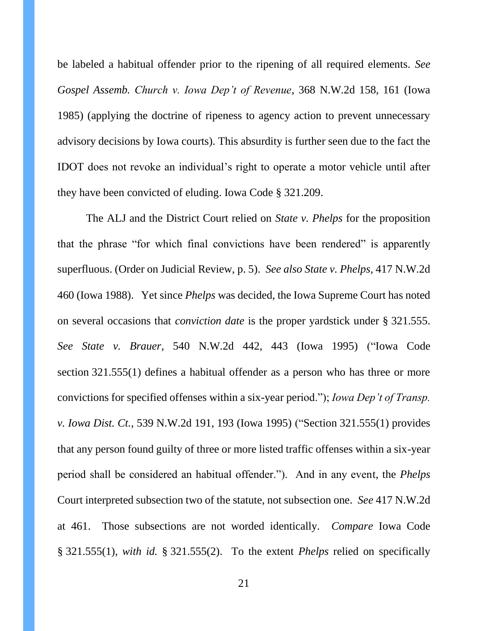be labeled a habitual offender prior to the ripening of all required elements. *See Gospel Assemb. Church v. Iowa Dep't of Revenue*, 368 N.W.2d 158, 161 (Iowa 1985) (applying the doctrine of ripeness to agency action to prevent unnecessary advisory decisions by Iowa courts). This absurdity is further seen due to the fact the IDOT does not revoke an individual's right to operate a motor vehicle until after they have been convicted of eluding. Iowa Code § 321.209.

The ALJ and the District Court relied on *State v. Phelps* for the proposition that the phrase "for which final convictions have been rendered" is apparently superfluous. (Order on Judicial Review, p. 5). *See also State v. Phelps*, 417 N.W.2d 460 (Iowa 1988). Yet since *Phelps* was decided, the Iowa Supreme Court has noted on several occasions that *conviction date* is the proper yardstick under § 321.555. *See State v. Brauer*, 540 N.W.2d 442, 443 (Iowa 1995) ("Iowa Code section 321.555(1) defines a habitual offender as a person who has three or more convictions for specified offenses within a six-year period."); *Iowa Dep't of Transp. v. Iowa Dist. Ct.*, 539 N.W.2d 191, 193 (Iowa 1995) ("Section 321.555(1) provides that any person found guilty of three or more listed traffic offenses within a six-year period shall be considered an habitual offender."). And in any event, the *Phelps* Court interpreted subsection two of the statute, not subsection one. *See* 417 N.W.2d at 461. Those subsections are not worded identically. *Compare* Iowa Code § 321.555(1), *with id.* § 321.555(2). To the extent *Phelps* relied on specifically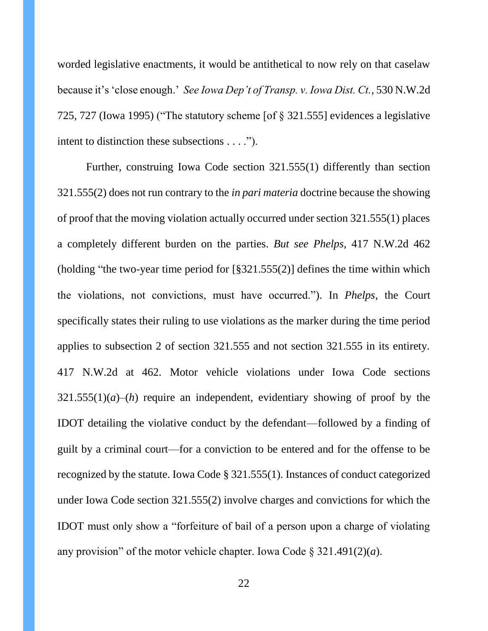worded legislative enactments, it would be antithetical to now rely on that caselaw because it's 'close enough.' *See Iowa Dep't of Transp. v. Iowa Dist. Ct.*, 530 N.W.2d 725, 727 (Iowa 1995) ("The statutory scheme [of § 321.555] evidences a legislative intent to distinction these subsections . . . .").

Further, construing Iowa Code section 321.555(1) differently than section 321.555(2) does not run contrary to the *in pari materia* doctrine because the showing of proof that the moving violation actually occurred under section 321.555(1) places a completely different burden on the parties. *But see Phelps*, 417 N.W.2d 462 (holding "the two-year time period for [§321.555(2)] defines the time within which the violations, not convictions, must have occurred."). In *Phelps*, the Court specifically states their ruling to use violations as the marker during the time period applies to subsection 2 of section 321.555 and not section 321.555 in its entirety. 417 N.W.2d at 462. Motor vehicle violations under Iowa Code sections 321.555(1)(*a*)–(*h*) require an independent, evidentiary showing of proof by the IDOT detailing the violative conduct by the defendant—followed by a finding of guilt by a criminal court—for a conviction to be entered and for the offense to be recognized by the statute. Iowa Code § 321.555(1). Instances of conduct categorized under Iowa Code section 321.555(2) involve charges and convictions for which the IDOT must only show a "forfeiture of bail of a person upon a charge of violating any provision" of the motor vehicle chapter. Iowa Code § 321.491(2)(*a*).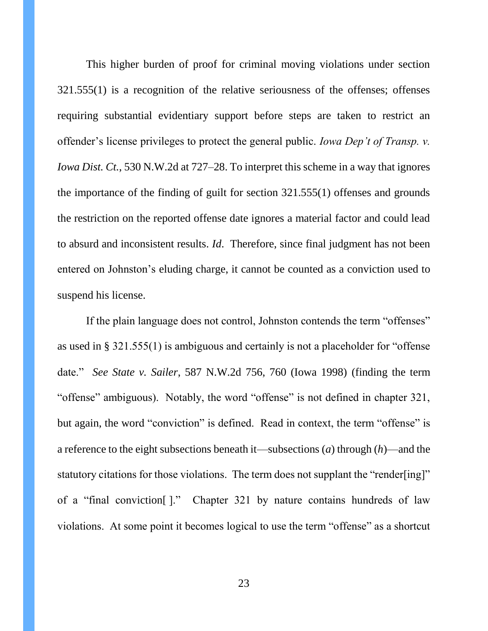This higher burden of proof for criminal moving violations under section 321.555(1) is a recognition of the relative seriousness of the offenses; offenses requiring substantial evidentiary support before steps are taken to restrict an offender's license privileges to protect the general public. *Iowa Dep't of Transp. v. Iowa Dist. Ct.*, 530 N.W.2d at 727–28. To interpret this scheme in a way that ignores the importance of the finding of guilt for section 321.555(1) offenses and grounds the restriction on the reported offense date ignores a material factor and could lead to absurd and inconsistent results. *Id*. Therefore, since final judgment has not been entered on Johnston's eluding charge, it cannot be counted as a conviction used to suspend his license.

If the plain language does not control, Johnston contends the term "offenses" as used in § 321.555(1) is ambiguous and certainly is not a placeholder for "offense date." *See State v. Sailer*, 587 N.W.2d 756, 760 (Iowa 1998) (finding the term "offense" ambiguous). Notably, the word "offense" is not defined in chapter 321, but again, the word "conviction" is defined. Read in context, the term "offense" is a reference to the eight subsections beneath it—subsections (*a*) through (*h*)—and the statutory citations for those violations. The term does not supplant the "render[ing]" of a "final conviction[ ]." Chapter 321 by nature contains hundreds of law violations. At some point it becomes logical to use the term "offense" as a shortcut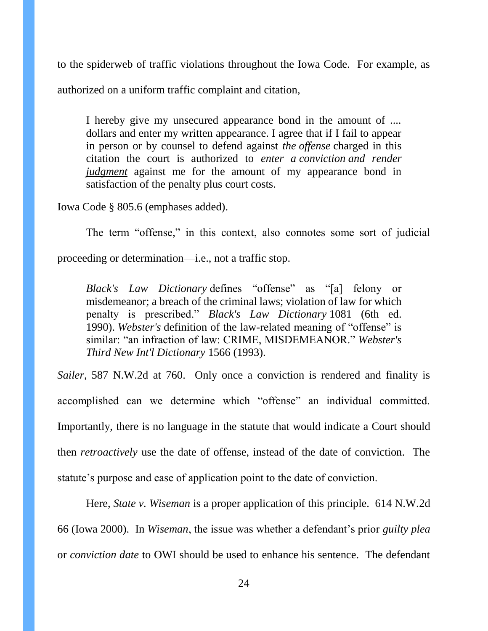to the spiderweb of traffic violations throughout the Iowa Code. For example, as authorized on a uniform traffic complaint and citation,

I hereby give my unsecured appearance bond in the amount of .... dollars and enter my written appearance. I agree that if I fail to appear in person or by counsel to defend against *the offense* charged in this citation the court is authorized to *enter a conviction and render judgment* against me for the amount of my appearance bond in satisfaction of the penalty plus court costs.

Iowa Code § 805.6 (emphases added).

The term "offense," in this context, also connotes some sort of judicial

proceeding or determination—i.e., not a traffic stop.

*Black's Law Dictionary* defines "offense" as "[a] felony or misdemeanor; a breach of the criminal laws; violation of law for which penalty is prescribed." *Black's Law Dictionary* 1081 (6th ed. 1990). *Webster's* definition of the law-related meaning of "offense" is similar: "an infraction of law: CRIME, MISDEMEANOR." *Webster's Third New Int'l Dictionary* 1566 (1993).

*Sailer*, 587 N.W.2d at 760. Only once a conviction is rendered and finality is accomplished can we determine which "offense" an individual committed. Importantly, there is no language in the statute that would indicate a Court should then *retroactively* use the date of offense, instead of the date of conviction. The statute's purpose and ease of application point to the date of conviction.

Here, *State v. Wiseman* is a proper application of this principle. 614 N.W.2d 66 (Iowa 2000). In *Wiseman*, the issue was whether a defendant's prior *guilty plea* or *conviction date* to OWI should be used to enhance his sentence. The defendant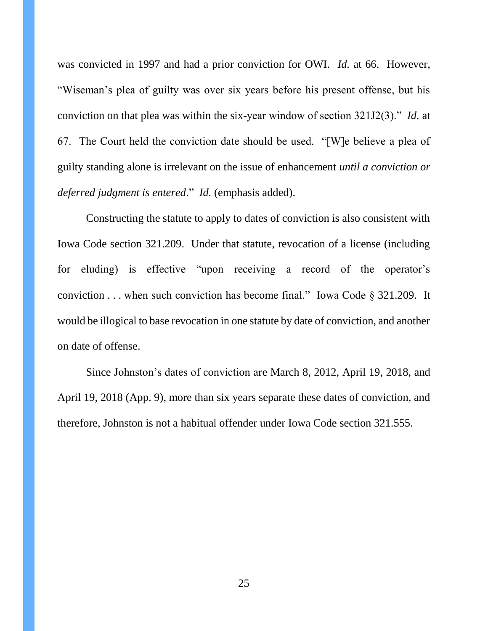was convicted in 1997 and had a prior conviction for OWI. *Id.* at 66. However, "Wiseman's plea of guilty was over six years before his present offense, but his conviction on that plea was within the six-year window of section 321J2(3)." *Id.* at 67. The Court held the conviction date should be used. "[W]e believe a plea of guilty standing alone is irrelevant on the issue of enhancement *until a conviction or deferred judgment is entered*." *Id.* (emphasis added).

Constructing the statute to apply to dates of conviction is also consistent with Iowa Code section 321.209. Under that statute, revocation of a license (including for eluding) is effective "upon receiving a record of the operator's conviction . . . when such conviction has become final." Iowa Code § 321.209. It would be illogical to base revocation in one statute by date of conviction, and another on date of offense.

Since Johnston's dates of conviction are March 8, 2012, April 19, 2018, and April 19, 2018 (App. 9), more than six years separate these dates of conviction, and therefore, Johnston is not a habitual offender under Iowa Code section 321.555.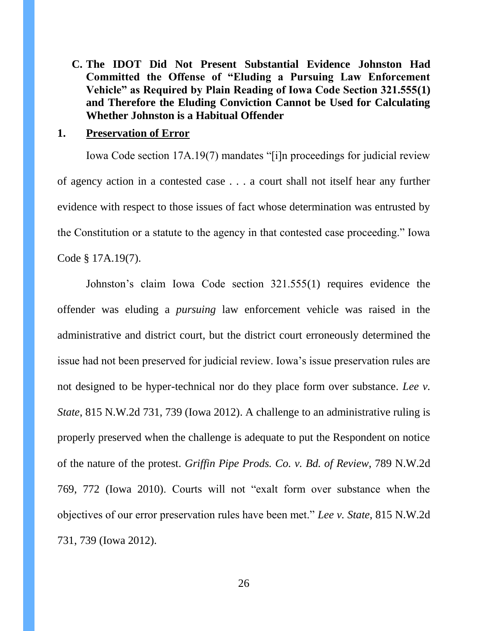**C. The IDOT Did Not Present Substantial Evidence Johnston Had Committed the Offense of "Eluding a Pursuing Law Enforcement Vehicle" as Required by Plain Reading of Iowa Code Section 321.555(1) and Therefore the Eluding Conviction Cannot be Used for Calculating Whether Johnston is a Habitual Offender**

#### **1. Preservation of Error**

Iowa Code section 17A.19(7) mandates "[i]n proceedings for judicial review of agency action in a contested case . . . a court shall not itself hear any further evidence with respect to those issues of fact whose determination was entrusted by the Constitution or a statute to the agency in that contested case proceeding." Iowa Code § 17A.19(7).

Johnston's claim Iowa Code section 321.555(1) requires evidence the offender was eluding a *pursuing* law enforcement vehicle was raised in the administrative and district court, but the district court erroneously determined the issue had not been preserved for judicial review. Iowa's issue preservation rules are not designed to be hyper-technical nor do they place form over substance. *Lee v. State*, 815 N.W.2d 731, 739 (Iowa 2012). A challenge to an administrative ruling is properly preserved when the challenge is adequate to put the Respondent on notice of the nature of the protest. *Griffin Pipe Prods. Co. v. Bd. of Review*, 789 N.W.2d 769, 772 (Iowa 2010). Courts will not "exalt form over substance when the objectives of our error preservation rules have been met." *Lee v. State*, 815 N.W.2d 731, 739 (Iowa 2012).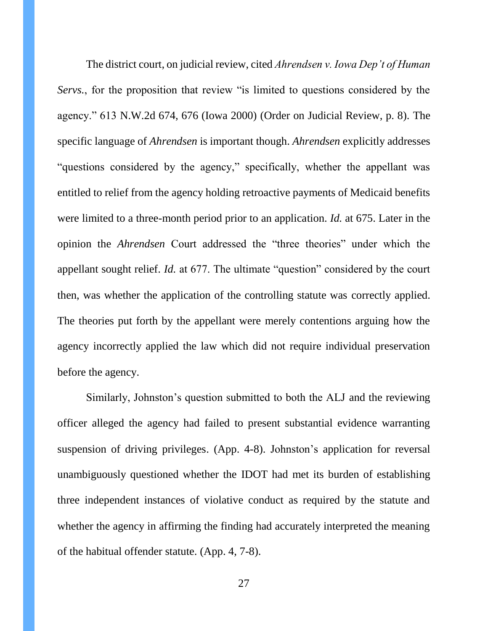The district court, on judicial review, cited *Ahrendsen v. Iowa Dep't of Human Servs.*, for the proposition that review "is limited to questions considered by the agency." 613 N.W.2d 674, 676 (Iowa 2000) (Order on Judicial Review, p. 8). The specific language of *Ahrendsen* is important though. *Ahrendsen* explicitly addresses "questions considered by the agency," specifically, whether the appellant was entitled to relief from the agency holding retroactive payments of Medicaid benefits were limited to a three-month period prior to an application. *Id.* at 675. Later in the opinion the *Ahrendsen* Court addressed the "three theories" under which the appellant sought relief. *Id.* at 677. The ultimate "question" considered by the court then, was whether the application of the controlling statute was correctly applied. The theories put forth by the appellant were merely contentions arguing how the agency incorrectly applied the law which did not require individual preservation before the agency.

Similarly, Johnston's question submitted to both the ALJ and the reviewing officer alleged the agency had failed to present substantial evidence warranting suspension of driving privileges. (App. 4-8). Johnston's application for reversal unambiguously questioned whether the IDOT had met its burden of establishing three independent instances of violative conduct as required by the statute and whether the agency in affirming the finding had accurately interpreted the meaning of the habitual offender statute. (App. 4, 7-8).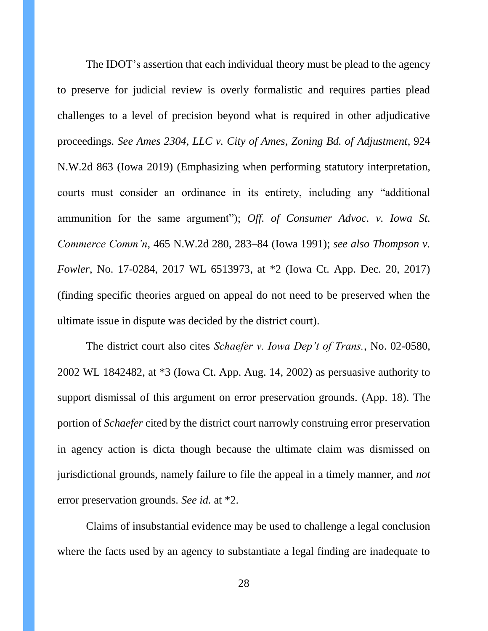The IDOT's assertion that each individual theory must be plead to the agency to preserve for judicial review is overly formalistic and requires parties plead challenges to a level of precision beyond what is required in other adjudicative proceedings. *See Ames 2304, LLC v. City of Ames, Zoning Bd. of Adjustment*, 924 N.W.2d 863 (Iowa 2019) (Emphasizing when performing statutory interpretation, courts must consider an ordinance in its entirety, including any "additional ammunition for the same argument"); *Off. of Consumer Advoc. v. Iowa St. Commerce Comm'n*, 465 N.W.2d 280, 283–84 (Iowa 1991); *see also Thompson v. Fowler*, No. 17-0284, 2017 WL 6513973, at \*2 (Iowa Ct. App. Dec. 20, 2017) (finding specific theories argued on appeal do not need to be preserved when the ultimate issue in dispute was decided by the district court).

The district court also cites *Schaefer v. Iowa Dep't of Trans.*, No. 02-0580, 2002 WL 1842482, at \*3 (Iowa Ct. App. Aug. 14, 2002) as persuasive authority to support dismissal of this argument on error preservation grounds. (App. 18). The portion of *Schaefer* cited by the district court narrowly construing error preservation in agency action is dicta though because the ultimate claim was dismissed on jurisdictional grounds, namely failure to file the appeal in a timely manner, and *not*  error preservation grounds. *See id.* at \*2.

Claims of insubstantial evidence may be used to challenge a legal conclusion where the facts used by an agency to substantiate a legal finding are inadequate to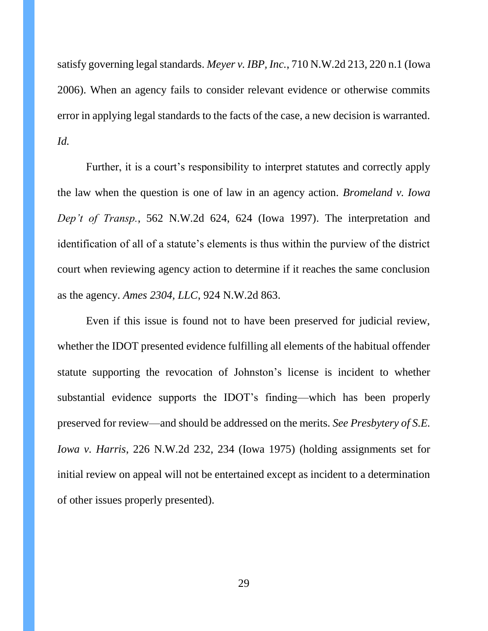satisfy governing legal standards. *Meyer v. IBP, Inc.*, 710 N.W.2d 213, 220 n.1 (Iowa 2006). When an agency fails to consider relevant evidence or otherwise commits error in applying legal standards to the facts of the case, a new decision is warranted. *Id.*

Further, it is a court's responsibility to interpret statutes and correctly apply the law when the question is one of law in an agency action. *Bromeland v. Iowa Dep't of Transp.*, 562 N.W.2d 624, 624 (Iowa 1997). The interpretation and identification of all of a statute's elements is thus within the purview of the district court when reviewing agency action to determine if it reaches the same conclusion as the agency. *Ames 2304, LLC*, 924 N.W.2d 863.

Even if this issue is found not to have been preserved for judicial review, whether the IDOT presented evidence fulfilling all elements of the habitual offender statute supporting the revocation of Johnston's license is incident to whether substantial evidence supports the IDOT's finding—which has been properly preserved for review—and should be addressed on the merits. *See Presbytery of S.E. Iowa v. Harris*, 226 N.W.2d 232, 234 (Iowa 1975) (holding assignments set for initial review on appeal will not be entertained except as incident to a determination of other issues properly presented).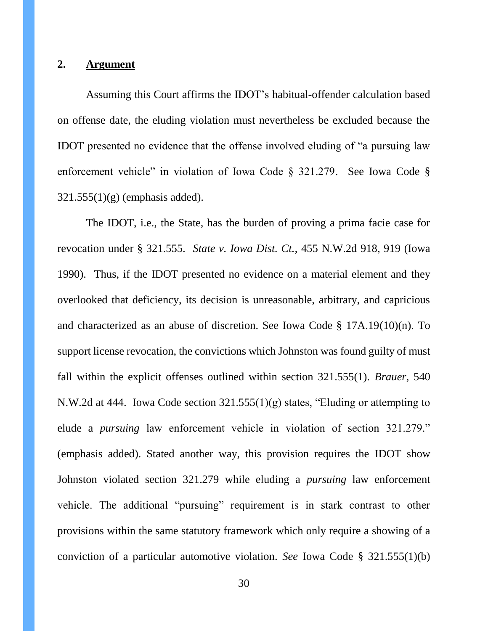#### **2. Argument**

Assuming this Court affirms the IDOT's habitual-offender calculation based on offense date, the eluding violation must nevertheless be excluded because the IDOT presented no evidence that the offense involved eluding of "a pursuing law enforcement vehicle" in violation of Iowa Code § 321.279. See Iowa Code §  $321.555(1)(g)$  (emphasis added).

The IDOT, i.e., the State, has the burden of proving a prima facie case for revocation under § 321.555. *State v. Iowa Dist. Ct.*, 455 N.W.2d 918, 919 (Iowa 1990). Thus, if the IDOT presented no evidence on a material element and they overlooked that deficiency, its decision is unreasonable, arbitrary, and capricious and characterized as an abuse of discretion. See Iowa Code § 17A.19(10)(n). To support license revocation, the convictions which Johnston was found guilty of must fall within the explicit offenses outlined within section 321.555(1). *Brauer*, 540 N.W.2d at 444. Iowa Code section 321.555(1)(g) states, "Eluding or attempting to elude a *pursuing* law enforcement vehicle in violation of section 321.279." (emphasis added). Stated another way, this provision requires the IDOT show Johnston violated section 321.279 while eluding a *pursuing* law enforcement vehicle. The additional "pursuing" requirement is in stark contrast to other provisions within the same statutory framework which only require a showing of a conviction of a particular automotive violation. *See* Iowa Code § 321.555(1)(b)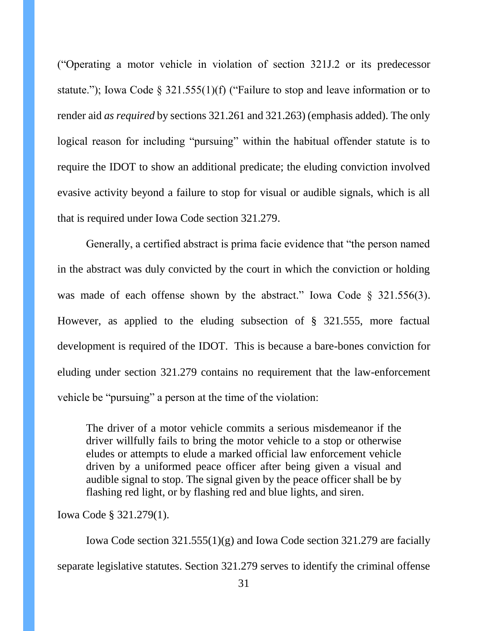("Operating a motor vehicle in violation of section 321J.2 or its predecessor statute."); Iowa Code § 321.555(1)(f) ("Failure to stop and leave information or to render aid *as required* by sections 321.261 and 321.263) (emphasis added). The only logical reason for including "pursuing" within the habitual offender statute is to require the IDOT to show an additional predicate; the eluding conviction involved evasive activity beyond a failure to stop for visual or audible signals, which is all that is required under Iowa Code section 321.279.

Generally, a certified abstract is prima facie evidence that "the person named in the abstract was duly convicted by the court in which the conviction or holding was made of each offense shown by the abstract." Iowa Code § 321.556(3). However, as applied to the eluding subsection of § 321.555, more factual development is required of the IDOT. This is because a bare-bones conviction for eluding under section 321.279 contains no requirement that the law-enforcement vehicle be "pursuing" a person at the time of the violation:

The driver of a motor vehicle commits a serious misdemeanor if the driver willfully fails to bring the motor vehicle to a stop or otherwise eludes or attempts to elude a marked official law enforcement vehicle driven by a uniformed peace officer after being given a visual and audible signal to stop. The signal given by the peace officer shall be by flashing red light, or by flashing red and blue lights, and siren.

Iowa Code § 321.279(1).

Iowa Code section 321.555(1)(g) and Iowa Code section 321.279 are facially separate legislative statutes. Section 321.279 serves to identify the criminal offense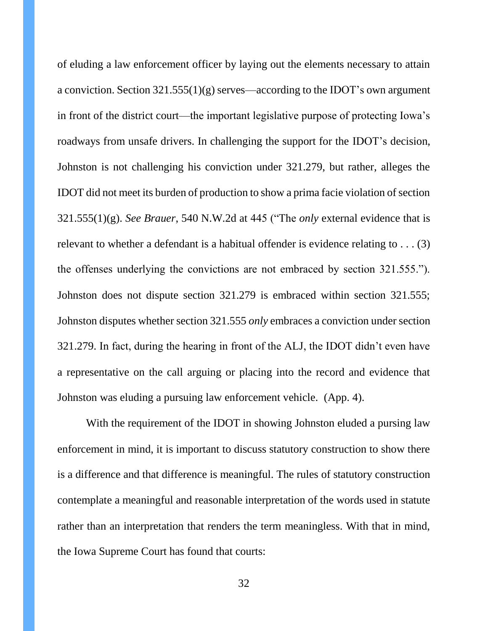of eluding a law enforcement officer by laying out the elements necessary to attain a conviction. Section 321.555(1)(g) serves—according to the IDOT's own argument in front of the district court—the important legislative purpose of protecting Iowa's roadways from unsafe drivers. In challenging the support for the IDOT's decision, Johnston is not challenging his conviction under 321.279, but rather, alleges the IDOT did not meet its burden of production to show a prima facie violation of section 321.555(1)(g). *See Brauer*, 540 N.W.2d at 445 ("The *only* external evidence that is relevant to whether a defendant is a habitual offender is evidence relating to . . . (3) the offenses underlying the convictions are not embraced by section 321.555."). Johnston does not dispute section 321.279 is embraced within section 321.555; Johnston disputes whether section 321.555 *only* embraces a conviction under section 321.279. In fact, during the hearing in front of the ALJ, the IDOT didn't even have a representative on the call arguing or placing into the record and evidence that Johnston was eluding a pursuing law enforcement vehicle. (App. 4).

With the requirement of the IDOT in showing Johnston eluded a pursing law enforcement in mind, it is important to discuss statutory construction to show there is a difference and that difference is meaningful. The rules of statutory construction contemplate a meaningful and reasonable interpretation of the words used in statute rather than an interpretation that renders the term meaningless. With that in mind, the Iowa Supreme Court has found that courts: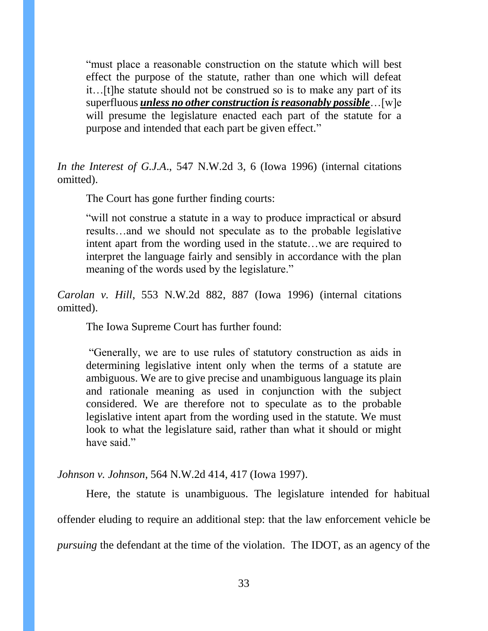"must place a reasonable construction on the statute which will best effect the purpose of the statute, rather than one which will defeat it…[t]he statute should not be construed so is to make any part of its superfluous *unless no other construction is reasonably possible*…[w]e will presume the legislature enacted each part of the statute for a purpose and intended that each part be given effect."

*In the Interest of G.J.A*., 547 N.W.2d 3, 6 (Iowa 1996) (internal citations omitted).

The Court has gone further finding courts:

"will not construe a statute in a way to produce impractical or absurd results…and we should not speculate as to the probable legislative intent apart from the wording used in the statute…we are required to interpret the language fairly and sensibly in accordance with the plan meaning of the words used by the legislature."

*Carolan v. Hill*, 553 N.W.2d 882, 887 (Iowa 1996) (internal citations omitted).

The Iowa Supreme Court has further found:

"Generally, we are to use rules of statutory construction as aids in determining legislative intent only when the terms of a statute are ambiguous. We are to give precise and unambiguous language its plain and rationale meaning as used in conjunction with the subject considered. We are therefore not to speculate as to the probable legislative intent apart from the wording used in the statute. We must look to what the legislature said, rather than what it should or might have said."

*Johnson v. Johnson*, 564 N.W.2d 414, 417 (Iowa 1997).

Here, the statute is unambiguous. The legislature intended for habitual offender eluding to require an additional step: that the law enforcement vehicle be *pursuing* the defendant at the time of the violation. The IDOT, as an agency of the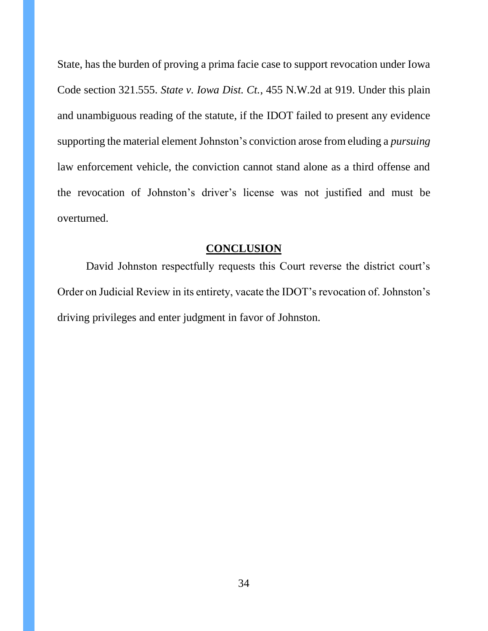State, has the burden of proving a prima facie case to support revocation under Iowa Code section 321.555. *State v. Iowa Dist. Ct.*, 455 N.W.2d at 919. Under this plain and unambiguous reading of the statute, if the IDOT failed to present any evidence supporting the material element Johnston's conviction arose from eluding a *pursuing* law enforcement vehicle, the conviction cannot stand alone as a third offense and the revocation of Johnston's driver's license was not justified and must be overturned.

## **CONCLUSION**

David Johnston respectfully requests this Court reverse the district court's Order on Judicial Review in its entirety, vacate the IDOT's revocation of. Johnston's driving privileges and enter judgment in favor of Johnston.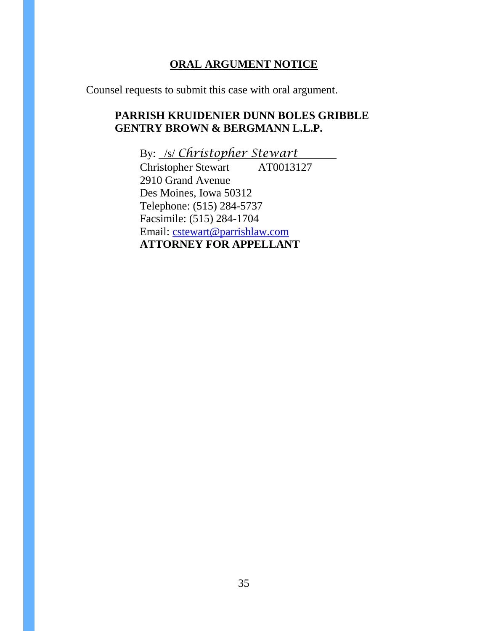# **ORAL ARGUMENT NOTICE**

Counsel requests to submit this case with oral argument.

# **PARRISH KRUIDENIER DUNN BOLES GRIBBLE GENTRY BROWN & BERGMANN L.L.P.**

By: /s/ *Christopher Stewart* Christopher Stewart AT0013127 2910 Grand Avenue Des Moines, Iowa 50312 Telephone: (515) 284-5737 Facsimile: (515) 284-1704 Email: [cstewart@parrishlaw.com](mailto:cstewart@parrishlaw.com) **ATTORNEY FOR APPELLANT**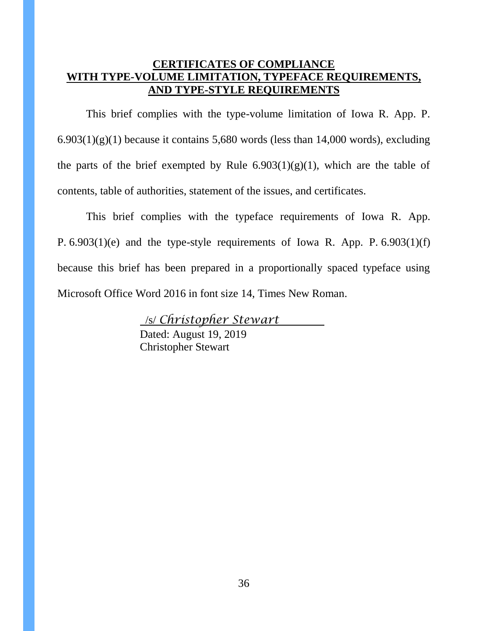# **CERTIFICATES OF COMPLIANCE WITH TYPE-VOLUME LIMITATION, TYPEFACE REQUIREMENTS, AND TYPE-STYLE REQUIREMENTS**

This brief complies with the type-volume limitation of Iowa R. App. P.  $6.903(1)(g)(1)$  because it contains 5,680 words (less than 14,000 words), excluding the parts of the brief exempted by Rule  $6.903(1)(g)(1)$ , which are the table of contents, table of authorities, statement of the issues, and certificates.

This brief complies with the typeface requirements of Iowa R. App. P. 6.903(1)(e) and the type-style requirements of Iowa R. App. P. 6.903(1)(f) because this brief has been prepared in a proportionally spaced typeface using Microsoft Office Word 2016 in font size 14, Times New Roman.

> /s/ *Christopher Stewart*  Dated: August 19, 2019 Christopher Stewart